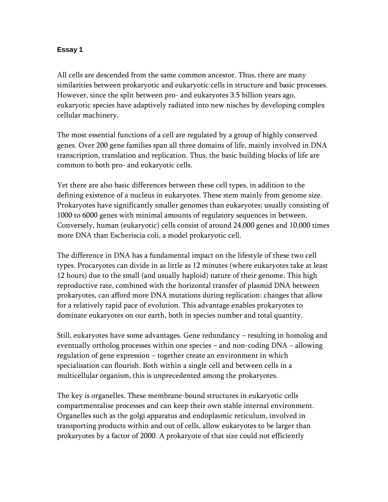## **Essay 1**

All cells are descended from the same common ancestor. Thus, there are many similarities between prokaryotic and eukaryotic cells in structure and basic processes. However, since the split between pro- and eukaryotes 3.5 billion years ago, eukaryotic species have adaptively radiated into new nisches by developing complex cellular machinery.

The most essential functions of a cell are regulated by a group of highly conserved genes. Over 200 gene families span all three domains of life, mainly involved in DNA transcription, translation and replication. Thus, the basic building blocks of life are common to both pro- and eukaryotic cells.

Yet there are also basic differences between these cell types, in addition to the defining existence of a nucleus in eukaryotes. These stem mainly from genome size. Prokaryotes have significantly smaller genomes than eukaryotes; usually consisting of 1000 to 6000 genes with minimal amounts of regulatory sequences in between. Conversely, human (eukaryotic) cells consist of around 24,000 genes and 10,000 times more DNA than Escheriscia coli, a model prokaryotic cell.

The difference in DNA has a fundamental impact on the lifestyle of these two cell types. Procaryotes can divide in as little as 12 minutes (where eukaryotes take at least 12 hours) due to the small (and usually haploid) nature of their genome. This high reproductive rate, combined with the horizontal transfer of plasmid DNA between prokaryotes, can afford more DNA mutations during replication: changes that allow for a relatively rapid pace of evolution. This advantage enables prokaryotes to dominate eukaryotes on our earth, both in species number and total quantity.

Still, eukaryotes have some advantages. Gene redundancy – resulting in homolog and eventually ortholog processes within one species – and non-coding DNA – allowing regulation of gene expression – together create an environment in which specialisation can flourish. Both within a single cell and between cells in a multicellular organism, this is unprecedented among the prokaryotes.

The key is organelles. These membrane-bound structures in eukaryotic cells compartmentalise processes and can keep their own stable internal environment. Organelles such as the golgi apparatus and endoplasmic reticulum, involved in transporting products within and out of cells, allow eukaryotes to be larger than prokaryotes by a factor of 2000. A prokaryote of that size could not efficiently